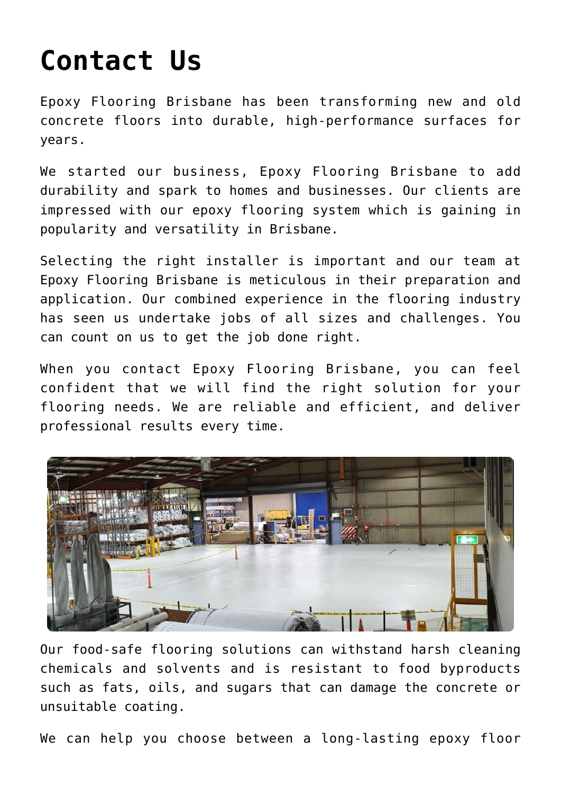## **[Contact Us](https://epoxybrisbane.com.au/contact-us/)**

[Epoxy Flooring Brisbane](https://epoxybrisbane.com.au/) has been transforming new and old concrete floors into durable, high-performance surfaces for years.

We started our business, [Epoxy Flooring Brisbane](https://epoxybrisbane.com.au/) to add durability and spark to homes and businesses. Our clients are impressed with our epoxy flooring system which is gaining in popularity and versatility in Brisbane.

Selecting the right installer is important and our team at Epoxy Flooring Brisbane is meticulous in their preparation and application. Our combined experience in the flooring industry has seen us undertake jobs of all sizes and challenges. You can count on us to get the job done right.

When you contact [Epoxy Flooring Brisbane,](https://epoxybrisbane.com.au/) you can feel confident that we will find the right solution for your flooring needs. We are reliable and efficient, and deliver professional results every time.



Our food-safe flooring solutions can withstand harsh cleaning chemicals and solvents and is resistant to food byproducts such as fats, oils, and sugars that can damage the concrete or unsuitable coating.

We can help you choose between a long-lasting epoxy floor